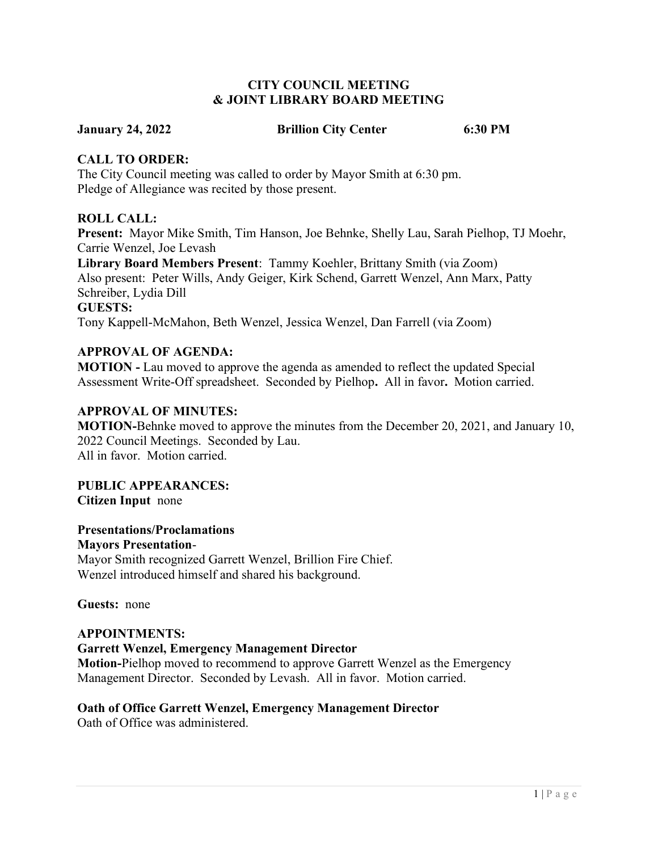### CITY COUNCIL MEETING & JOINT LIBRARY BOARD MEETING

#### January 24, 2022 Brillion City Center 6:30 PM

# CALL TO ORDER:

The City Council meeting was called to order by Mayor Smith at 6:30 pm. Pledge of Allegiance was recited by those present.

# ROLL CALL:

Present: Mayor Mike Smith, Tim Hanson, Joe Behnke, Shelly Lau, Sarah Pielhop, TJ Moehr, Carrie Wenzel, Joe Levash

Library Board Members Present: Tammy Koehler, Brittany Smith (via Zoom) Also present: Peter Wills, Andy Geiger, Kirk Schend, Garrett Wenzel, Ann Marx, Patty Schreiber, Lydia Dill GUESTS:

Tony Kappell-McMahon, Beth Wenzel, Jessica Wenzel, Dan Farrell (via Zoom)

# APPROVAL OF AGENDA:

MOTION - Lau moved to approve the agenda as amended to reflect the updated Special Assessment Write-Off spreadsheet. Seconded by Pielhop. All in favor. Motion carried.

# APPROVAL OF MINUTES:

MOTION-Behnke moved to approve the minutes from the December 20, 2021, and January 10, 2022 Council Meetings. Seconded by Lau. All in favor. Motion carried.

PUBLIC APPEARANCES: Citizen Input none

Presentations/Proclamations Mayors Presentation-

Mayor Smith recognized Garrett Wenzel, Brillion Fire Chief. Wenzel introduced himself and shared his background.

Guests: none

### APPOINTMENTS: Garrett Wenzel, Emergency Management Director Motion-Pielhop moved to recommend to approve Garrett Wenzel as the Emergency Management Director. Seconded by Levash. All in favor. Motion carried.

# Oath of Office Garrett Wenzel, Emergency Management Director

Oath of Office was administered.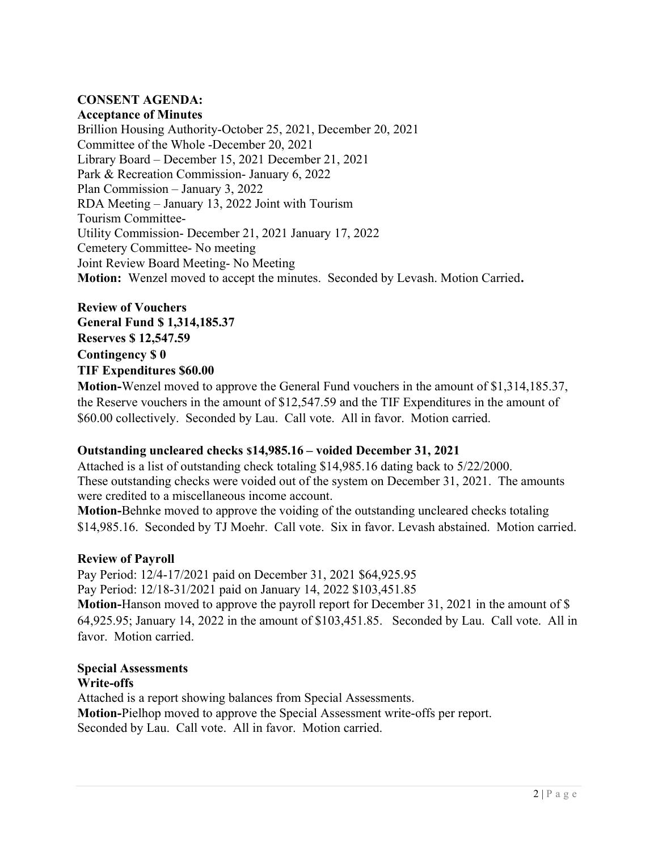# CONSENT AGENDA:

### Acceptance of Minutes

Brillion Housing Authority-October 25, 2021, December 20, 2021 Committee of the Whole -December 20, 2021 Library Board – December 15, 2021 December 21, 2021 Park & Recreation Commission- January 6, 2022 Plan Commission – January 3, 2022 RDA Meeting – January 13, 2022 Joint with Tourism Tourism Committee-Utility Commission- December 21, 2021 January 17, 2022 Cemetery Committee- No meeting Joint Review Board Meeting- No Meeting Motion: Wenzel moved to accept the minutes. Seconded by Levash. Motion Carried.

Review of Vouchers General Fund \$ 1,314,185.37 Reserves \$ 12,547.59 Contingency \$ 0 TIF Expenditures \$60.00

Motion-Wenzel moved to approve the General Fund vouchers in the amount of \$1,314,185.37, the Reserve vouchers in the amount of \$12,547.59 and the TIF Expenditures in the amount of \$60.00 collectively. Seconded by Lau. Call vote. All in favor. Motion carried.

#### Outstanding uncleared checks \$14,985.16 – voided December 31, 2021

Attached is a list of outstanding check totaling \$14,985.16 dating back to 5/22/2000. These outstanding checks were voided out of the system on December 31, 2021. The amounts were credited to a miscellaneous income account.

Motion-Behnke moved to approve the voiding of the outstanding uncleared checks totaling \$14,985.16. Seconded by TJ Moehr. Call vote. Six in favor. Levash abstained. Motion carried.

#### Review of Payroll

Pay Period: 12/4-17/2021 paid on December 31, 2021 \$64,925.95 Pay Period: 12/18-31/2021 paid on January 14, 2022 \$103,451.85 Motion-Hanson moved to approve the payroll report for December 31, 2021 in the amount of \$ 64,925.95; January 14, 2022 in the amount of \$103,451.85. Seconded by Lau. Call vote. All in favor. Motion carried.

#### Special Assessments Write-offs

Attached is a report showing balances from Special Assessments. Motion-Pielhop moved to approve the Special Assessment write-offs per report. Seconded by Lau. Call vote. All in favor. Motion carried.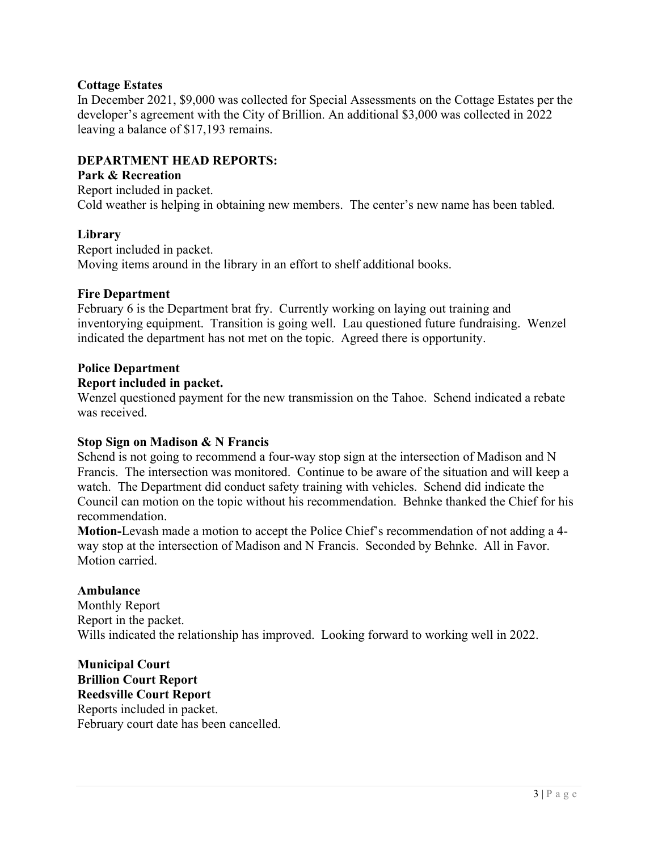# Cottage Estates

In December 2021, \$9,000 was collected for Special Assessments on the Cottage Estates per the developer's agreement with the City of Brillion. An additional \$3,000 was collected in 2022 leaving a balance of \$17,193 remains.

# DEPARTMENT HEAD REPORTS:

#### Park & Recreation

Report included in packet. Cold weather is helping in obtaining new members. The center's new name has been tabled.

#### Library

Report included in packet. Moving items around in the library in an effort to shelf additional books.

#### Fire Department

February 6 is the Department brat fry. Currently working on laying out training and inventorying equipment. Transition is going well. Lau questioned future fundraising. Wenzel indicated the department has not met on the topic. Agreed there is opportunity.

#### Police Department

#### Report included in packet.

Wenzel questioned payment for the new transmission on the Tahoe. Schend indicated a rebate was received.

#### Stop Sign on Madison & N Francis

Schend is not going to recommend a four-way stop sign at the intersection of Madison and N Francis. The intersection was monitored. Continue to be aware of the situation and will keep a watch. The Department did conduct safety training with vehicles. Schend did indicate the Council can motion on the topic without his recommendation. Behnke thanked the Chief for his recommendation.

Motion-Levash made a motion to accept the Police Chief's recommendation of not adding a 4 way stop at the intersection of Madison and N Francis. Seconded by Behnke. All in Favor. Motion carried.

#### Ambulance

Monthly Report Report in the packet. Wills indicated the relationship has improved. Looking forward to working well in 2022.

Municipal Court Brillion Court Report Reedsville Court Report Reports included in packet. February court date has been cancelled.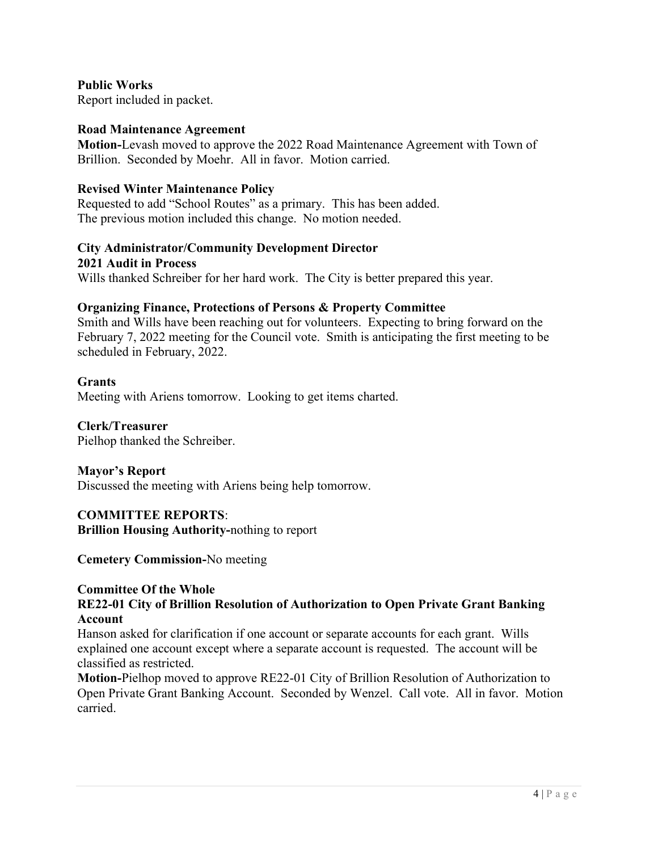Public Works Report included in packet.

#### Road Maintenance Agreement

Motion-Levash moved to approve the 2022 Road Maintenance Agreement with Town of Brillion. Seconded by Moehr. All in favor. Motion carried.

#### Revised Winter Maintenance Policy

Requested to add "School Routes" as a primary. This has been added. The previous motion included this change. No motion needed.

# City Administrator/Community Development Director

2021 Audit in Process Wills thanked Schreiber for her hard work. The City is better prepared this year.

#### Organizing Finance, Protections of Persons & Property Committee

Smith and Wills have been reaching out for volunteers. Expecting to bring forward on the February 7, 2022 meeting for the Council vote. Smith is anticipating the first meeting to be scheduled in February, 2022.

#### **Grants**

Meeting with Ariens tomorrow. Looking to get items charted.

#### Clerk/Treasurer

Pielhop thanked the Schreiber.

#### Mayor's Report

Discussed the meeting with Ariens being help tomorrow.

#### COMMITTEE REPORTS:

Brillion Housing Authority-nothing to report

Cemetery Commission-No meeting

#### Committee Of the Whole

# RE22-01 City of Brillion Resolution of Authorization to Open Private Grant Banking Account

Hanson asked for clarification if one account or separate accounts for each grant. Wills explained one account except where a separate account is requested. The account will be classified as restricted.

Motion-Pielhop moved to approve RE22-01 City of Brillion Resolution of Authorization to Open Private Grant Banking Account. Seconded by Wenzel. Call vote. All in favor. Motion carried.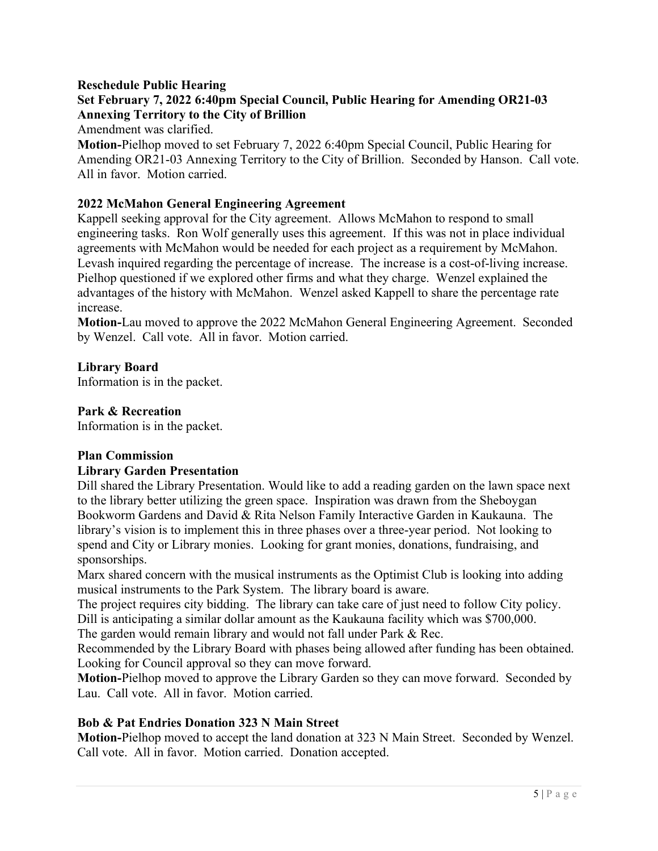# Reschedule Public Hearing

# Set February 7, 2022 6:40pm Special Council, Public Hearing for Amending OR21-03 Annexing Territory to the City of Brillion

Amendment was clarified.

Motion-Pielhop moved to set February 7, 2022 6:40pm Special Council, Public Hearing for Amending OR21-03 Annexing Territory to the City of Brillion. Seconded by Hanson. Call vote. All in favor. Motion carried.

# 2022 McMahon General Engineering Agreement

Kappell seeking approval for the City agreement. Allows McMahon to respond to small engineering tasks. Ron Wolf generally uses this agreement. If this was not in place individual agreements with McMahon would be needed for each project as a requirement by McMahon. Levash inquired regarding the percentage of increase. The increase is a cost-of-living increase. Pielhop questioned if we explored other firms and what they charge. Wenzel explained the advantages of the history with McMahon. Wenzel asked Kappell to share the percentage rate increase.

Motion-Lau moved to approve the 2022 McMahon General Engineering Agreement. Seconded by Wenzel. Call vote. All in favor. Motion carried.

# Library Board

Information is in the packet.

#### Park & Recreation

Information is in the packet.

#### Plan Commission

#### Library Garden Presentation

Dill shared the Library Presentation. Would like to add a reading garden on the lawn space next to the library better utilizing the green space. Inspiration was drawn from the Sheboygan Bookworm Gardens and David & Rita Nelson Family Interactive Garden in Kaukauna. The library's vision is to implement this in three phases over a three-year period. Not looking to spend and City or Library monies. Looking for grant monies, donations, fundraising, and sponsorships.

Marx shared concern with the musical instruments as the Optimist Club is looking into adding musical instruments to the Park System. The library board is aware.

The project requires city bidding. The library can take care of just need to follow City policy. Dill is anticipating a similar dollar amount as the Kaukauna facility which was \$700,000.

The garden would remain library and would not fall under Park & Rec.

Recommended by the Library Board with phases being allowed after funding has been obtained. Looking for Council approval so they can move forward.

Motion-Pielhop moved to approve the Library Garden so they can move forward. Seconded by Lau. Call vote. All in favor. Motion carried.

# Bob & Pat Endries Donation 323 N Main Street

Motion-Pielhop moved to accept the land donation at 323 N Main Street. Seconded by Wenzel. Call vote. All in favor. Motion carried. Donation accepted.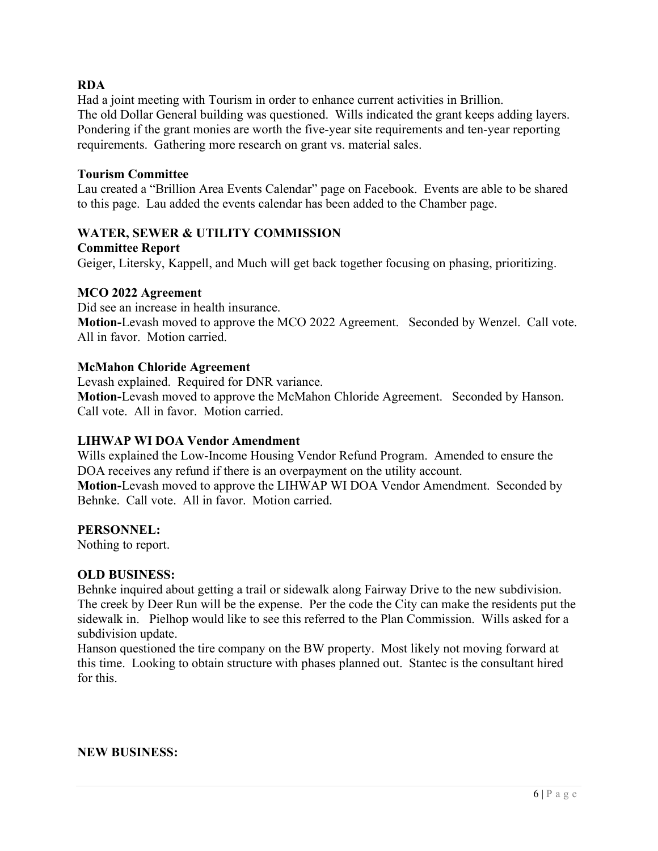# RDA

Had a joint meeting with Tourism in order to enhance current activities in Brillion. The old Dollar General building was questioned. Wills indicated the grant keeps adding layers. Pondering if the grant monies are worth the five-year site requirements and ten-year reporting requirements. Gathering more research on grant vs. material sales.

#### Tourism Committee

Lau created a "Brillion Area Events Calendar" page on Facebook. Events are able to be shared to this page. Lau added the events calendar has been added to the Chamber page.

# WATER, SEWER & UTILITY COMMISSION

Committee Report

Geiger, Litersky, Kappell, and Much will get back together focusing on phasing, prioritizing.

#### MCO 2022 Agreement

Did see an increase in health insurance. Motion-Levash moved to approve the MCO 2022 Agreement. Seconded by Wenzel. Call vote. All in favor. Motion carried.

#### McMahon Chloride Agreement

Levash explained. Required for DNR variance. Motion-Levash moved to approve the McMahon Chloride Agreement. Seconded by Hanson. Call vote. All in favor. Motion carried.

#### LIHWAP WI DOA Vendor Amendment

Wills explained the Low-Income Housing Vendor Refund Program. Amended to ensure the DOA receives any refund if there is an overpayment on the utility account. Motion-Levash moved to approve the LIHWAP WI DOA Vendor Amendment. Seconded by Behnke. Call vote. All in favor. Motion carried.

#### PERSONNEL:

Nothing to report.

#### OLD BUSINESS:

Behnke inquired about getting a trail or sidewalk along Fairway Drive to the new subdivision. The creek by Deer Run will be the expense. Per the code the City can make the residents put the sidewalk in. Pielhop would like to see this referred to the Plan Commission. Wills asked for a subdivision update.

Hanson questioned the tire company on the BW property. Most likely not moving forward at this time. Looking to obtain structure with phases planned out. Stantec is the consultant hired for this.

#### NEW BUSINESS: